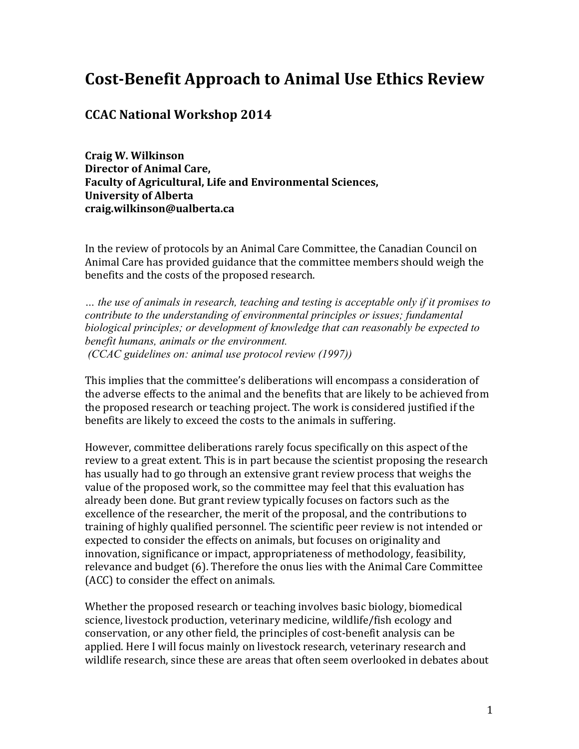# **Cost-Benefit Approach to Animal Use Ethics Review**

## **CCAC National Workshop 2014**

**Craig W. Wilkinson Director of Animal Care,** Faculty of Agricultural, Life and Environmental Sciences, **University of Alberta craig.wilkinson@ualberta.ca**

In the review of protocols by an Animal Care Committee, the Canadian Council on Animal Care has provided guidance that the committee members should weigh the benefits and the costs of the proposed research.

*… the use of animals in research, teaching and testing is acceptable only if it promises to contribute to the understanding of environmental principles or issues; fundamental biological principles; or development of knowledge that can reasonably be expected to benefit humans, animals or the environment. (CCAC guidelines on: animal use protocol review (1997))*

This implies that the committee's deliberations will encompass a consideration of the adverse effects to the animal and the benefits that are likely to be achieved from the proposed research or teaching project. The work is considered justified if the benefits are likely to exceed the costs to the animals in suffering.

However, committee deliberations rarely focus specifically on this aspect of the review to a great extent. This is in part because the scientist proposing the research has usually had to go through an extensive grant review process that weighs the value of the proposed work, so the committee may feel that this evaluation has already been done. But grant review typically focuses on factors such as the excellence of the researcher, the merit of the proposal, and the contributions to training of highly qualified personnel. The scientific peer review is not intended or expected to consider the effects on animals, but focuses on originality and innovation, significance or impact, appropriateness of methodology, feasibility, relevance and budget (6). Therefore the onus lies with the Animal Care Committee (ACC) to consider the effect on animals.

Whether the proposed research or teaching involves basic biology, biomedical science, livestock production, veterinary medicine, wildlife/fish ecology and conservation, or any other field, the principles of cost-benefit analysis can be applied. Here I will focus mainly on livestock research, veterinary research and wildlife research, since these are areas that often seem overlooked in debates about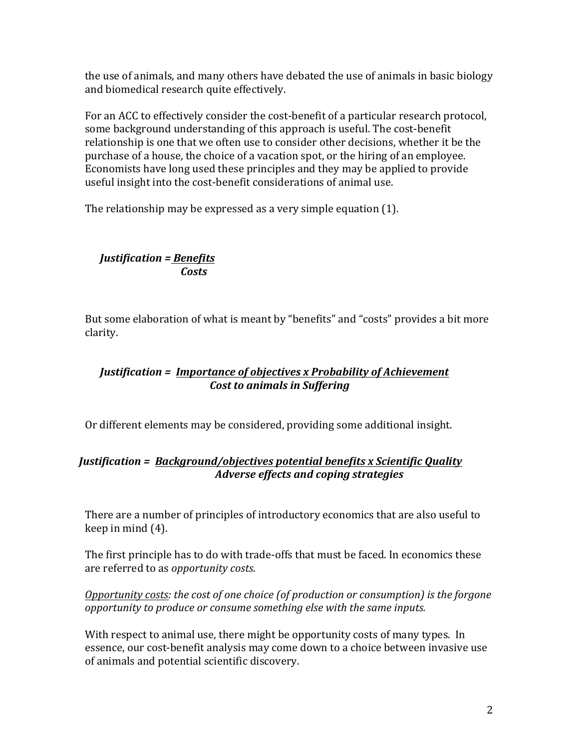the use of animals, and many others have debated the use of animals in basic biology and biomedical research quite effectively.

For an ACC to effectively consider the cost-benefit of a particular research protocol, some background understanding of this approach is useful. The cost-benefit relationship is one that we often use to consider other decisions, whether it be the purchase of a house, the choice of a vacation spot, or the hiring of an employee. Economists have long used these principles and they may be applied to provide useful insight into the cost-benefit considerations of animal use.

The relationship may be expressed as a very simple equation  $(1)$ .

# *Justification = Benefits Costs*

But some elaboration of what is meant by "benefits" and "costs" provides a bit more clarity. 

# *Justification* = *Importance of objectives x Probability of Achievement Cost to animals in Suffering*

Or different elements may be considered, providing some additional insight.

# *Justification* = *Background/objectives potential benefits x Scientific Quality Adverse effects and coping strategies*

There are a number of principles of introductory economics that are also useful to keep in mind  $(4)$ .

The first principle has to do with trade-offs that must be faced. In economics these are referred to as *opportunity costs*.

*Opportunity costs: the cost of one choice (of production or consumption) is the forgone opportunity* to produce or consume something else with the same inputs.

With respect to animal use, there might be opportunity costs of many types. In essence, our cost-benefit analysis may come down to a choice between invasive use of animals and potential scientific discovery.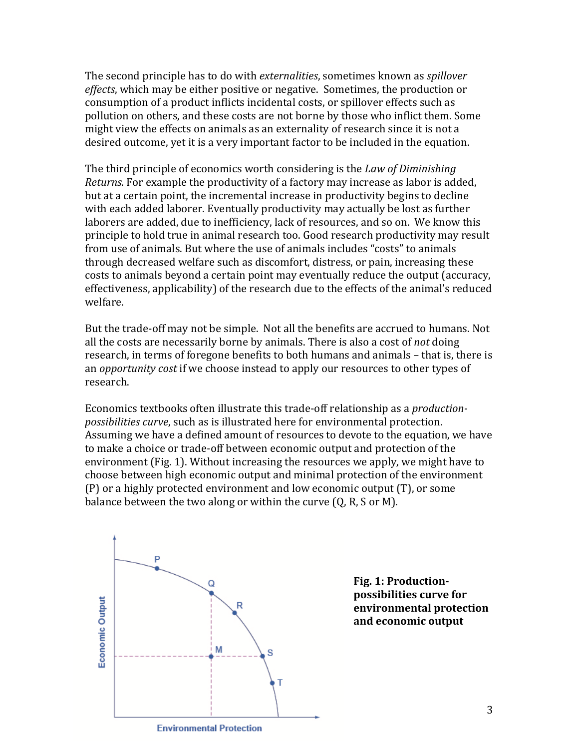The second principle has to do with *externalities*, sometimes known as *spillover effects*, which may be either positive or negative. Sometimes, the production or consumption of a product inflicts incidental costs, or spillover effects such as pollution on others, and these costs are not borne by those who inflict them. Some might view the effects on animals as an externality of research since it is not a desired outcome, yet it is a very important factor to be included in the equation.

The third principle of economics worth considering is the *Law of Diminishing Returns.* For example the productivity of a factory may increase as labor is added, but at a certain point, the incremental increase in productivity begins to decline with each added laborer. Eventually productivity may actually be lost as further laborers are added, due to inefficiency, lack of resources, and so on. We know this principle to hold true in animal research too. Good research productivity may result from use of animals. But where the use of animals includes "costs" to animals through decreased welfare such as discomfort, distress, or pain, increasing these costs to animals beyond a certain point may eventually reduce the output (accuracy, effectiveness, applicability) of the research due to the effects of the animal's reduced welfare. 

But the trade-off may not be simple. Not all the benefits are accrued to humans. Not all the costs are necessarily borne by animals. There is also a cost of *not* doing research, in terms of foregone benefits to both humans and animals – that is, there is an *opportunity cost* if we choose instead to apply our resources to other types of research.

Economics textbooks often illustrate this trade-off relationship as a *productionpossibilities curve*, such as is illustrated here for environmental protection. Assuming we have a defined amount of resources to devote to the equation, we have to make a choice or trade-off between economic output and protection of the environment (Fig. 1). Without increasing the resources we apply, we might have to choose between high economic output and minimal protection of the environment  $(P)$  or a highly protected environment and low economic output  $(T)$ , or some balance between the two along or within the curve  $(Q, R, S)$  or M).



Fig. 1: Production**possibilities curve for environmental protection**  and economic output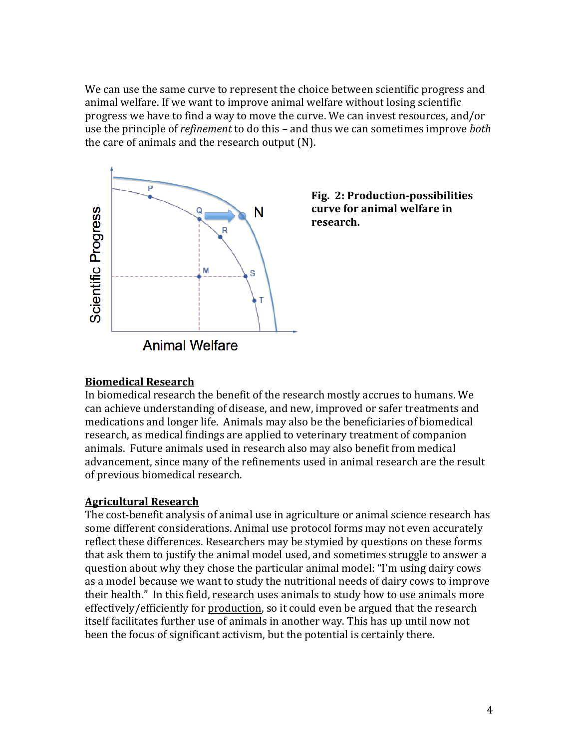We can use the same curve to represent the choice between scientific progress and animal welfare. If we want to improve animal welfare without losing scientific progress we have to find a way to move the curve. We can invest resources, and/or use the principle of *refinement* to do this – and thus we can sometimes improve *both* the care of animals and the research output (N).





# **Biomedical Research**

In biomedical research the benefit of the research mostly accrues to humans. We can achieve understanding of disease, and new, improved or safer treatments and medications and longer life. Animals may also be the beneficiaries of biomedical research, as medical findings are applied to veterinary treatment of companion animals. Future animals used in research also may also benefit from medical advancement, since many of the refinements used in animal research are the result of previous biomedical research.

#### **Agricultural Research**

The cost-benefit analysis of animal use in agriculture or animal science research has some different considerations. Animal use protocol forms may not even accurately reflect these differences. Researchers may be stymied by questions on these forms that ask them to justify the animal model used, and sometimes struggle to answer a question about why they chose the particular animal model: "I'm using dairy cows as a model because we want to study the nutritional needs of dairy cows to improve their health." In this field, research uses animals to study how to use animals more effectively/efficiently for production, so it could even be argued that the research itself facilitates further use of animals in another way. This has up until now not been the focus of significant activism, but the potential is certainly there.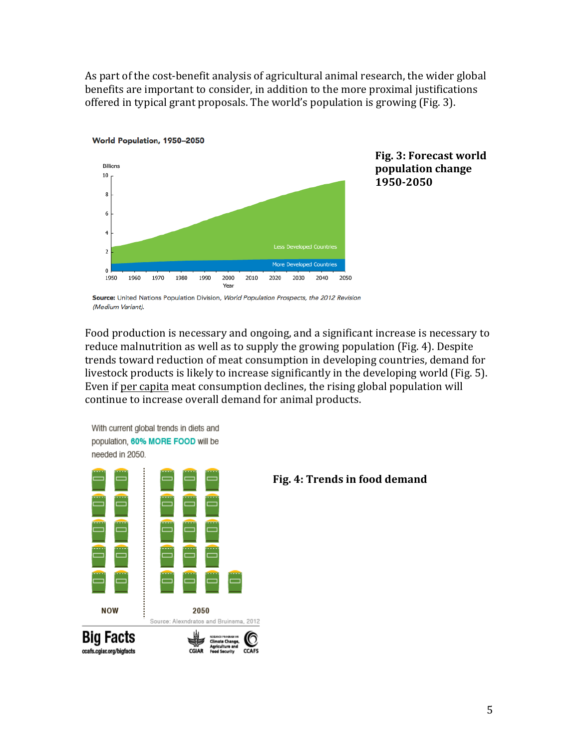As part of the cost-benefit analysis of agricultural animal research, the wider global benefits are important to consider, in addition to the more proximal justifications offered in typical grant proposals. The world's population is growing (Fig. 3).





Source: United Nations Population Division, World Population Prospects, the 2012 Revision (Medium Variant).

Food production is necessary and ongoing, and a significant increase is necessary to reduce malnutrition as well as to supply the growing population (Fig. 4). Despite trends toward reduction of meat consumption in developing countries, demand for livestock products is likely to increase significantly in the developing world (Fig. 5). Even if per capita meat consumption declines, the rising global population will continue to increase overall demand for animal products.





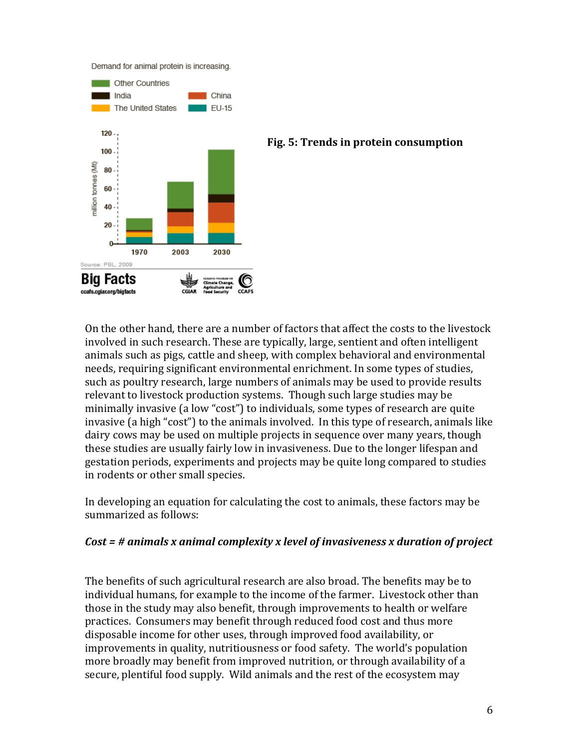Demand for animal protein is increasing.



#### **Fig. 5: Trends in protein consumption**

On the other hand, there are a number of factors that affect the costs to the livestock involved in such research. These are typically, large, sentient and often intelligent animals such as pigs, cattle and sheep, with complex behavioral and environmental needs, requiring significant environmental enrichment. In some types of studies, such as poultry research, large numbers of animals may be used to provide results relevant to livestock production systems. Though such large studies may be minimally invasive (a low "cost") to individuals, some types of research are quite invasive (a high "cost") to the animals involved. In this type of research, animals like dairy cows may be used on multiple projects in sequence over many years, though these studies are usually fairly low in invasiveness. Due to the longer lifespan and gestation periods, experiments and projects may be quite long compared to studies in rodents or other small species.

In developing an equation for calculating the cost to animals, these factors may be summarized as follows:

## *Cost* = # animals x animal complexity x level of invasiveness x duration of project

The benefits of such agricultural research are also broad. The benefits may be to individual humans, for example to the income of the farmer. Livestock other than those in the study may also benefit, through improvements to health or welfare practices. Consumers may benefit through reduced food cost and thus more disposable income for other uses, through improved food availability, or improvements in quality, nutritiousness or food safety. The world's population more broadly may benefit from improved nutrition, or through availability of a secure, plentiful food supply. Wild animals and the rest of the ecosystem may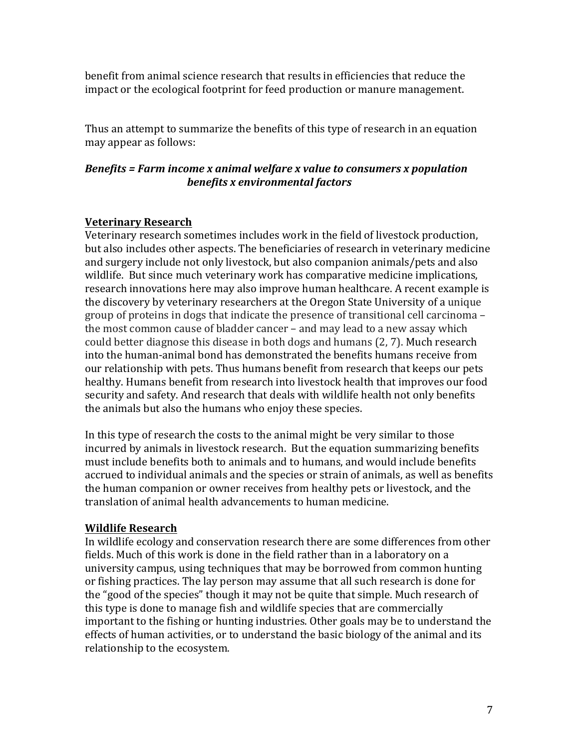benefit from animal science research that results in efficiencies that reduce the impact or the ecological footprint for feed production or manure management.

Thus an attempt to summarize the benefits of this type of research in an equation may appear as follows:

# *Benefits* = Farm income x animal welfare x value to consumers x population *benefits x environmental factors*

# **Veterinary Research**

Veterinary research sometimes includes work in the field of livestock production, but also includes other aspects. The beneficiaries of research in veterinary medicine and surgery include not only livestock, but also companion animals/pets and also wildlife. But since much veterinary work has comparative medicine implications, research innovations here may also improve human healthcare. A recent example is the discovery by veterinary researchers at the Oregon State University of a unique group of proteins in dogs that indicate the presence of transitional cell carcinoma – the most common cause of bladder cancer – and may lead to a new assay which could better diagnose this disease in both dogs and humans (2, 7). Much research into the human-animal bond has demonstrated the benefits humans receive from our relationship with pets. Thus humans benefit from research that keeps our pets healthy. Humans benefit from research into livestock health that improves our food security and safety. And research that deals with wildlife health not only benefits the animals but also the humans who enjoy these species.

In this type of research the costs to the animal might be very similar to those incurred by animals in livestock research. But the equation summarizing benefits must include benefits both to animals and to humans, and would include benefits accrued to individual animals and the species or strain of animals, as well as benefits the human companion or owner receives from healthy pets or livestock, and the translation of animal health advancements to human medicine.

## **Wildlife Research**

In wildlife ecology and conservation research there are some differences from other fields. Much of this work is done in the field rather than in a laboratory on a university campus, using techniques that may be borrowed from common hunting or fishing practices. The lay person may assume that all such research is done for the "good of the species" though it may not be quite that simple. Much research of this type is done to manage fish and wildlife species that are commercially important to the fishing or hunting industries. Other goals may be to understand the effects of human activities, or to understand the basic biology of the animal and its relationship to the ecosystem.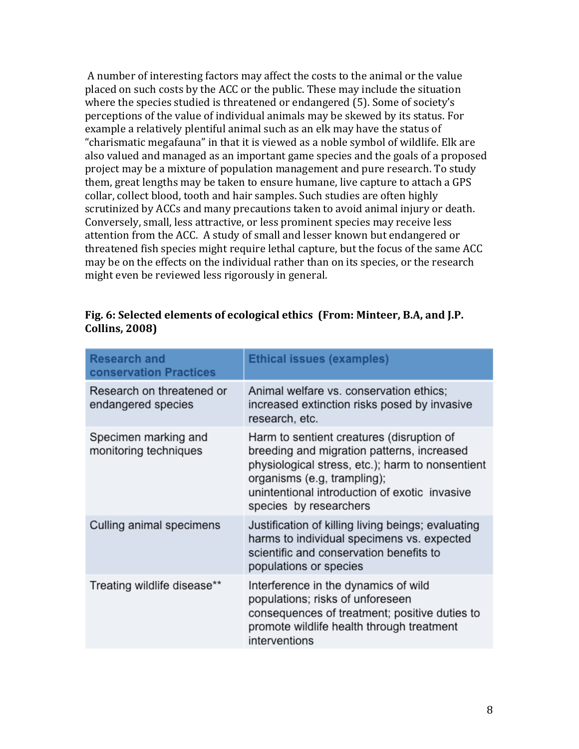A number of interesting factors may affect the costs to the animal or the value placed on such costs by the ACC or the public. These may include the situation where the species studied is threatened or endangered (5). Some of society's perceptions of the value of individual animals may be skewed by its status. For example a relatively plentiful animal such as an elk may have the status of "charismatic megafauna" in that it is viewed as a noble symbol of wildlife. Elk are also valued and managed as an important game species and the goals of a proposed project may be a mixture of population management and pure research. To study them, great lengths may be taken to ensure humane, live capture to attach a GPS collar, collect blood, tooth and hair samples. Such studies are often highly scrutinized by ACCs and many precautions taken to avoid animal injury or death. Conversely, small, less attractive, or less prominent species may receive less attention from the ACC. A study of small and lesser known but endangered or threatened fish species might require lethal capture, but the focus of the same ACC may be on the effects on the individual rather than on its species, or the research might even be reviewed less rigorously in general.

| Fig. 6: Selected elements of ecological ethics (From: Minteer, B.A, and J.P. |  |
|------------------------------------------------------------------------------|--|
| <b>Collins, 2008)</b>                                                        |  |

| <b>Research and</b><br><b>conservation Practices</b> | <b>Ethical issues (examples)</b>                                                                                                                                                                                                                      |
|------------------------------------------------------|-------------------------------------------------------------------------------------------------------------------------------------------------------------------------------------------------------------------------------------------------------|
| Research on threatened or<br>endangered species      | Animal welfare vs. conservation ethics;<br>increased extinction risks posed by invasive<br>research, etc.                                                                                                                                             |
| Specimen marking and<br>monitoring techniques        | Harm to sentient creatures (disruption of<br>breeding and migration patterns, increased<br>physiological stress, etc.); harm to nonsentient<br>organisms (e.g, trampling);<br>unintentional introduction of exotic invasive<br>species by researchers |
| Culling animal specimens                             | Justification of killing living beings; evaluating<br>harms to individual specimens vs. expected<br>scientific and conservation benefits to<br>populations or species                                                                                 |
| Treating wildlife disease**                          | Interference in the dynamics of wild<br>populations; risks of unforeseen<br>consequences of treatment; positive duties to<br>promote wildlife health through treatment<br>interventions                                                               |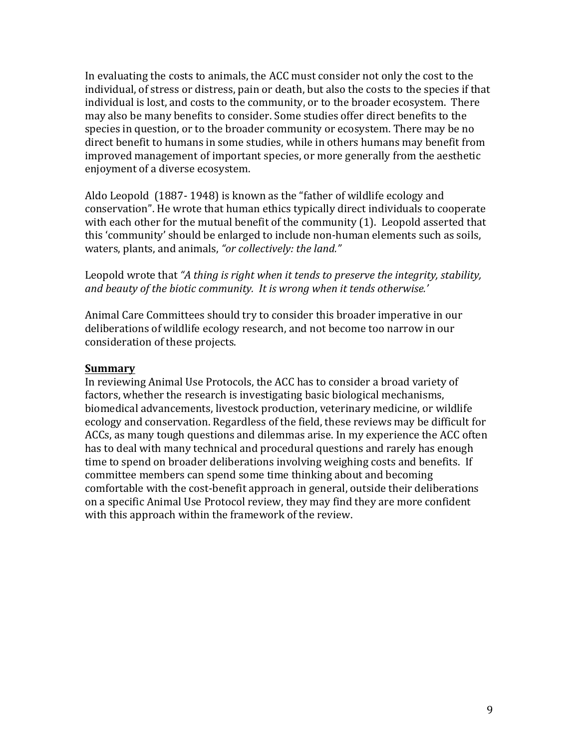In evaluating the costs to animals, the ACC must consider not only the cost to the individual, of stress or distress, pain or death, but also the costs to the species if that individual is lost, and costs to the community, or to the broader ecosystem. There may also be many benefits to consider. Some studies offer direct benefits to the species in question, or to the broader community or ecosystem. There may be no direct benefit to humans in some studies, while in others humans may benefit from improved management of important species, or more generally from the aesthetic enjoyment of a diverse ecosystem.

Aldo Leopold  $(1887-1948)$  is known as the "father of wildlife ecology and conservation". He wrote that human ethics typically direct individuals to cooperate with each other for the mutual benefit of the community  $(1)$ . Leopold asserted that this 'community' should be enlarged to include non-human elements such as soils, waters, plants, and animals, "or collectively: the land."

Leopold wrote that "A thing is right when it tends to preserve the integrity, stability, and beauty of the biotic community. It is wrong when it tends otherwise.'

Animal Care Committees should try to consider this broader imperative in our deliberations of wildlife ecology research, and not become too narrow in our consideration of these projects.

#### **Summary**

In reviewing Animal Use Protocols, the ACC has to consider a broad variety of factors, whether the research is investigating basic biological mechanisms, biomedical advancements, livestock production, veterinary medicine, or wildlife ecology and conservation. Regardless of the field, these reviews may be difficult for ACCs, as many tough questions and dilemmas arise. In my experience the ACC often has to deal with many technical and procedural questions and rarely has enough time to spend on broader deliberations involving weighing costs and benefits. If committee members can spend some time thinking about and becoming comfortable with the cost-benefit approach in general, outside their deliberations on a specific Animal Use Protocol review, they may find they are more confident with this approach within the framework of the review.